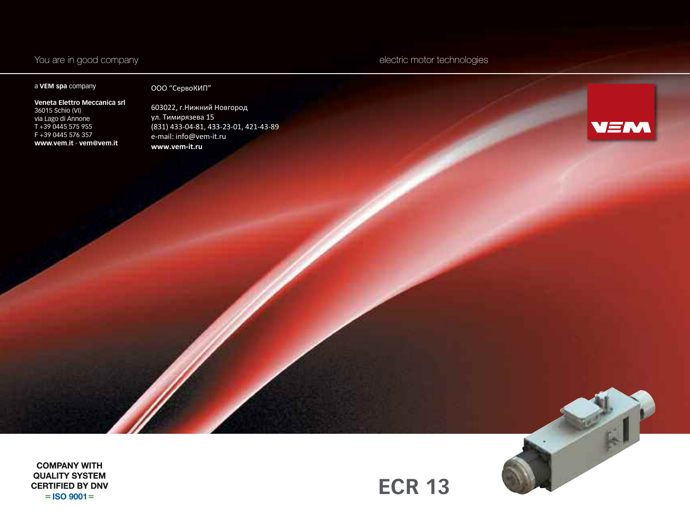## You are in good company electric motor technologies

#### a **VEM spa** company

### ООО "СервоКИП"

**Veneta Elettro Meccanica srl** 36015 Schio (VI) via Lago di Annone T +39 0445 575 955 F +39 0445 576 357 **www.vem.it** - **vem@vem.it**

603022, г.Нижний Новгород ул. Тимирязева 15 (831) 433-04-81, 433-23-01, 421-43-89 e-mail: info@vem-it.ru **www.vem-it.ru**